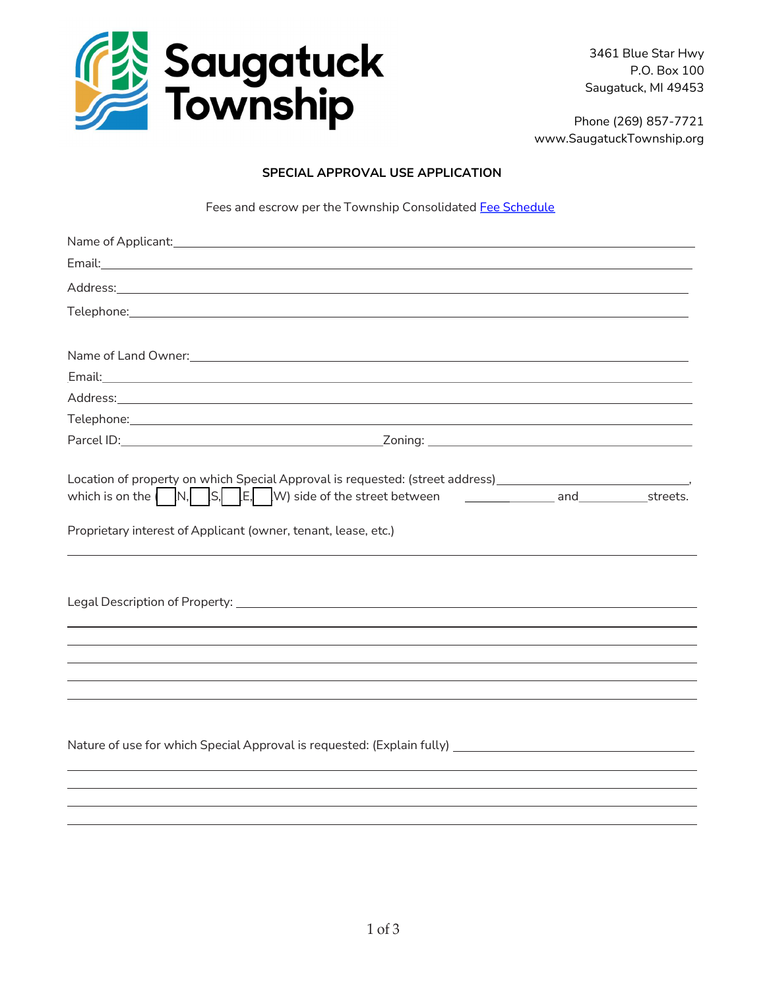

3461 Blue Star Hwy P.O. Box 100 Saugatuck, MI 49453

Phone (269) 857-7721 www.SaugatuckTownship.org

## SPECIAL APPROVAL USE APPLICATION

Fees and escrow per the Township Consolidated [Fee Schedule](http://saugatucktownship.org/kcuTaGuaS/wp-content/uploads/bsk-pdf-manager/NEW_Consolidated_Fees_FINAL_05.01.2022_1517.pdf)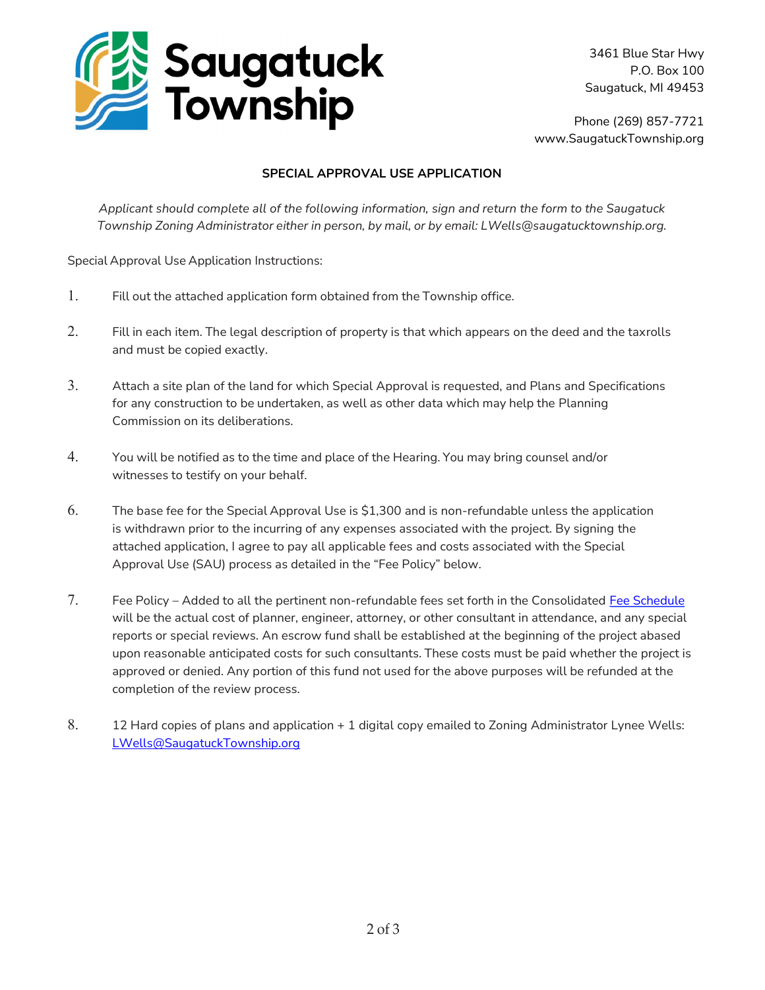

3461 Blue Star Hwy P.O. Box 100 Saugatuck, MI 49453

Phone (269) 857-7721 www.SaugatuckTownship.org

## SPECIAL APPROVAL USE APPLICATION

Applicant should complete all of the following information, sign and return the form to the Saugatuck Township Zoning Administrator either in person, by mail, or by email: LWells@saugatucktownship.org.

Special Approval Use Application Instructions:

- 1. Fill out the attached application form obtained from the Township office.
- 2. Fill in each item. The legal description of property is that which appears on the deed and the tax rolls and must be copied exactly.
- 3. Attach a site plan of the land for which Special Approval is requested, and Plans and Specifications for any construction to be undertaken, as well as other data which may help the Planning Commission on its deliberations.
- 4. You will be notified as to the time and place of the Hearing. You may bring counsel and/or witnesses to testify on your behalf.
- 6. The base fee for the Special Approval Use is \$1,300 and is non-refundable unless the application is withdrawn prior to the incurring of any expenses associated with the project. By signing the attached application, I agree to pay all applicable fees and costs associated with the Special Approval Use (SAU) process as detailed in the "Fee Policy" below.
- 7. Fee Policy Added to all the pertinent non-refundable fees set forth in the Consolidated [Fee Schedule](http://saugatucktownship.org/kcuTaGuaS/wp-content/uploads/bsk-pdf-manager/NEW_Consolidated_Fees_FINAL_05.01.2022_1517.pdf) will be the actual cost of planner, engineer, attorney, or other consultant in attendance, and any special reports or special reviews. An escrow fund shall be established at the beginning of the project abased upon reasonable anticipated costs for such consultants. These costs must be paid whether the project is approved or denied. Any portion of this fund not used for the above purposes will be refunded at the completion of the review process.
- 8. 12 Hard copies of plans and application + 1 digital copy emailed to Zoning Administrator Lynee Wells: LWells@SaugatuckTownship.org